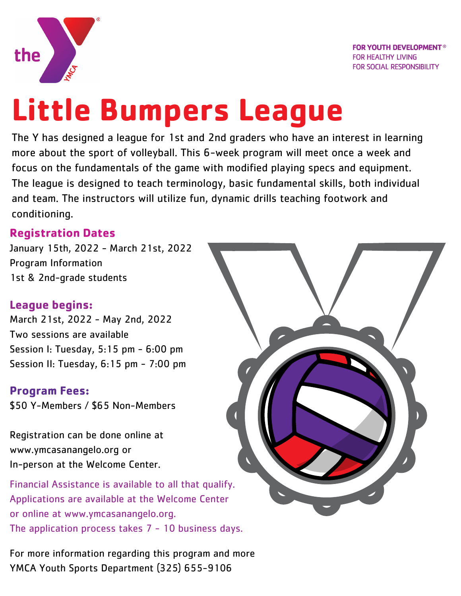

**FOR YOUTH DEVELOPMENT<sup>®</sup> FOR HEALTHY LIVING FOR SOCIAL RESPONSIBILITY** 

# **Little Bumpers League**

The Y has designed a league for 1st and 2nd graders who have an interest in learning more about the sport of volleyball. This 6-week program will meet once a week and focus on the fundamentals of the game with modified playing specs and equipment. The league is designed to teach terminology, basic fundamental skills, both individual and team. The instructors will utilize fun, dynamic drills teaching footwork and conditioning.

#### **Registration Dates**

January 15th, 2022 - March 21st, 2022 Program Information 1st & 2nd-grade students

### **League begins:**

March 21st, 2022 - May 2nd, 2022 Two sessions are available Session I: Tuesday, 5:15 pm - 6:00 pm Session II: Tuesday, 6:15 pm - 7:00 pm

#### **Program Fees:**

\$50 Y-Members / \$65 Non-Members

Registration can be done online at www.ymcasanangelo.org or In-person at the Welcome Center.

Financial Assistance is available to all that qualify. Applications are available at the Welcome Center or online at www.ymcasanangelo.org. The application process takes  $7 - 10$  business days.

For more information regarding this program and more YMCA Youth Sports Department (325) 655-9106